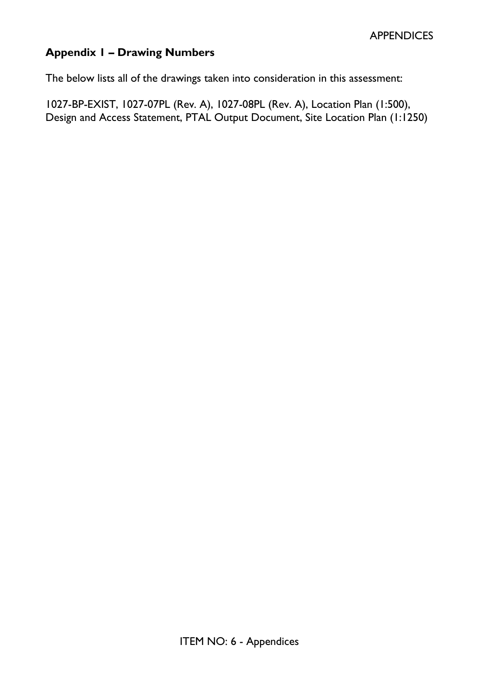# **Appendix 1 – Drawing Numbers**

The below lists all of the drawings taken into consideration in this assessment:

1027-BP-EXIST, 1027-07PL (Rev. A), 1027-08PL (Rev. A), Location Plan (1:500), Design and Access Statement, PTAL Output Document, Site Location Plan (1:1250)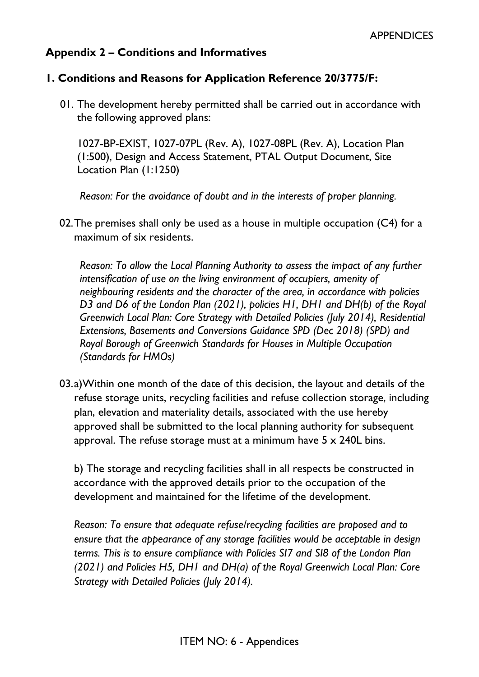# **Appendix 2 – Conditions and Informatives**

#### **1. Conditions and Reasons for Application Reference 20/3775/F:**

01. The development hereby permitted shall be carried out in accordance with the following approved plans:

1027-BP-EXIST, 1027-07PL (Rev. A), 1027-08PL (Rev. A), Location Plan (1:500), Design and Access Statement, PTAL Output Document, Site Location Plan (1:1250)

*Reason: For the avoidance of doubt and in the interests of proper planning.*

02.The premises shall only be used as a house in multiple occupation (C4) for a maximum of six residents.

*Reason: To allow the Local Planning Authority to assess the impact of any further intensification of use on the living environment of occupiers, amenity of neighbouring residents and the character of the area, in accordance with policies D3 and D6 of the London Plan (2021), policies H1, DH1 and DH(b) of the Royal Greenwich Local Plan: Core Strategy with Detailed Policies (July 2014), Residential Extensions, Basements and Conversions Guidance SPD (Dec 2018) (SPD) and Royal Borough of Greenwich Standards for Houses in Multiple Occupation (Standards for HMOs)*

03.a)Within one month of the date of this decision, the layout and details of the refuse storage units, recycling facilities and refuse collection storage, including plan, elevation and materiality details, associated with the use hereby approved shall be submitted to the local planning authority for subsequent approval. The refuse storage must at a minimum have  $5 \times 240$ L bins.

b) The storage and recycling facilities shall in all respects be constructed in accordance with the approved details prior to the occupation of the development and maintained for the lifetime of the development.

*Reason: To ensure that adequate refuse/recycling facilities are proposed and to ensure that the appearance of any storage facilities would be acceptable in design terms. This is to ensure compliance with Policies SI7 and SI8 of the London Plan (2021) and Policies H5, DH1 and DH(a) of the Royal Greenwich Local Plan: Core Strategy with Detailed Policies (July 2014).*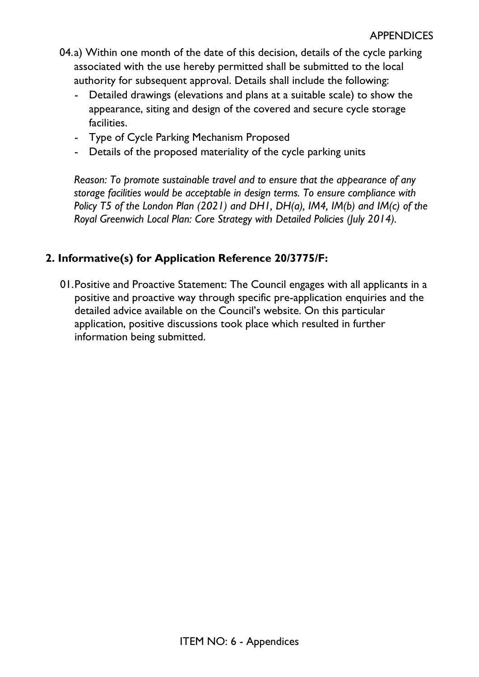- 04.a) Within one month of the date of this decision, details of the cycle parking associated with the use hereby permitted shall be submitted to the local authority for subsequent approval. Details shall include the following:
	- Detailed drawings (elevations and plans at a suitable scale) to show the appearance, siting and design of the covered and secure cycle storage facilities.
	- Type of Cycle Parking Mechanism Proposed
	- Details of the proposed materiality of the cycle parking units

*Reason: To promote sustainable travel and to ensure that the appearance of any storage facilities would be acceptable in design terms. To ensure compliance with Policy T5 of the London Plan (2021) and DH1, DH(a), IM4, IM(b) and IM(c) of the Royal Greenwich Local Plan: Core Strategy with Detailed Policies (July 2014).* 

## **2. Informative(s) for Application Reference 20/3775/F:**

01.Positive and Proactive Statement: The Council engages with all applicants in a positive and proactive way through specific pre-application enquiries and the detailed advice available on the Council's website. On this particular application, positive discussions took place which resulted in further information being submitted.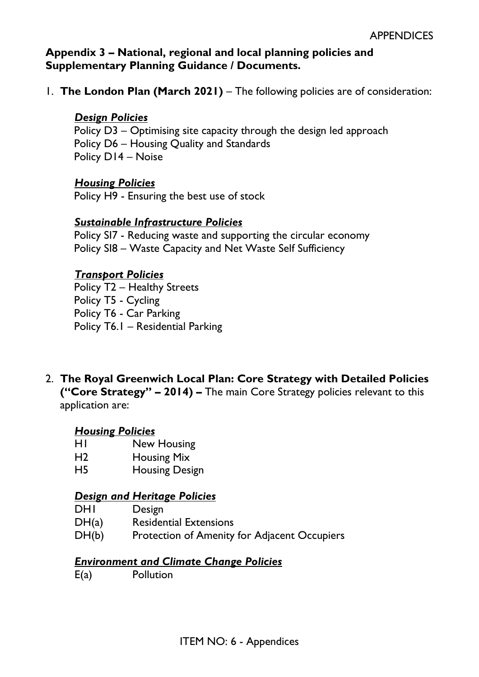## **Appendix 3 – National, regional and local planning policies and Supplementary Planning Guidance / Documents.**

1. **The London Plan (March 2021)** – The following policies are of consideration:

## *Design Policies*

Policy D3 – Optimising site capacity through the design led approach Policy D6 – Housing Quality and Standards Policy D14 – Noise

### *Housing Policies*

Policy H9 - Ensuring the best use of stock

### *Sustainable Infrastructure Policies*

Policy SI7 - Reducing waste and supporting the circular economy Policy SI8 – Waste Capacity and Net Waste Self Sufficiency

## *Transport Policies*

Policy T2 – Healthy Streets Policy T5 - Cycling Policy T6 - Car Parking Policy T6.1 – Residential Parking

2. **The Royal Greenwich Local Plan: Core Strategy with Detailed Policies ("Core Strategy" – 2014) –** The main Core Strategy policies relevant to this application are:

### *Housing Policies*

- H1 New Housing
- H2 Housing Mix
- H5 Housing Design

### *Design and Heritage Policies*

- DHI Design
- DH(a) Residential Extensions
- DH(b) Protection of Amenity for Adjacent Occupiers

### *Environment and Climate Change Policies*

E(a) Pollution